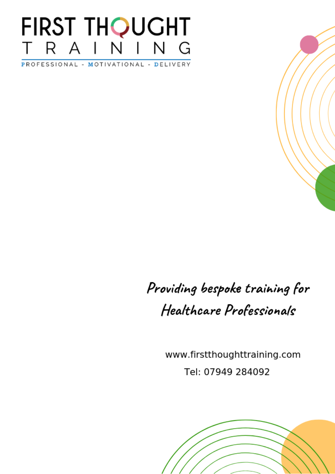# FIRST THQUGHT R A I  $\overline{\mathsf{N}}$  $\overline{\mathsf{N}}$ G

PROFESSIONAL - MOTIVATIONAL - DELIVERY

# Providing bespoke training for Healthcare Professionals

www.firstthoughttraining.com Tel: 07949 284092

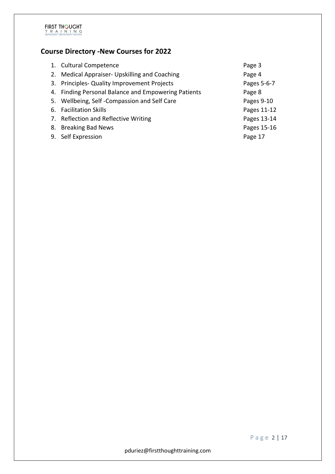

# **Course Directory -New Courses for 2022**

|    | 1. Cultural Competence                              | Page 3      |
|----|-----------------------------------------------------|-------------|
| 2. | Medical Appraiser- Upskilling and Coaching          | Page 4      |
|    | 3. Principles- Quality Improvement Projects         | Pages 5-6-7 |
|    | 4. Finding Personal Balance and Empowering Patients | Page 8      |
|    | 5. Wellbeing, Self-Compassion and Self Care         | Pages 9-10  |
|    | 6. Facilitation Skills                              | Pages 11-12 |
|    | 7. Reflection and Reflective Writing                | Pages 13-14 |
|    | 8. Breaking Bad News                                | Pages 15-16 |
|    | 9. Self Expression                                  | Page 17     |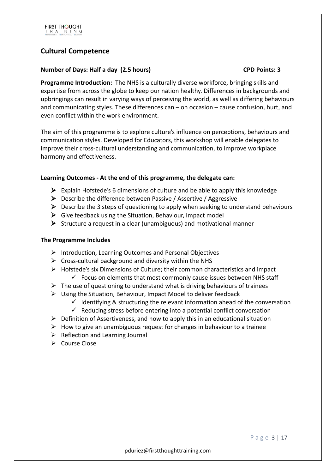# **Cultural Competence**

#### **Number of Days: Half a day (2.5 hours) CPD Points: 3**

**Programme Introduction:** The NHS is a culturally diverse workforce, bringing skills and expertise from across the globe to keep our nation healthy. Differences in backgrounds and upbringings can result in varying ways of perceiving the world, as well as differing behaviours and communicating styles. These differences can – on occasion – cause confusion, hurt, and even conflict within the work environment.

The aim of this programme is to explore culture's influence on perceptions, behaviours and communication styles. Developed for Educators, this workshop will enable delegates to improve their cross-cultural understanding and communication, to improve workplace harmony and effectiveness.

### **Learning Outcomes - At the end of this programme, the delegate can:**

- $\triangleright$  Explain Hofstede's 6 dimensions of culture and be able to apply this knowledge
- $\triangleright$  Describe the difference between Passive / Assertive / Aggressive
- $\triangleright$  Describe the 3 steps of questioning to apply when seeking to understand behaviours
- $\triangleright$  Give feedback using the Situation, Behaviour, Impact model
- $\triangleright$  Structure a request in a clear (unambiguous) and motivational manner

#### **The Programme Includes**

- $\triangleright$  Introduction, Learning Outcomes and Personal Objectives
- $\triangleright$  Cross-cultural background and diversity within the NHS
- $\triangleright$  Hofstede's six Dimensions of Culture; their common characteristics and impact
	- $\checkmark$  Focus on elements that most commonly cause issues between NHS staff
- $\triangleright$  The use of questioning to understand what is driving behaviours of trainees
- $\triangleright$  Using the Situation, Behaviour, Impact Model to deliver feedback
	- $\checkmark$  Identifying & structuring the relevant information ahead of the conversation
	- $\checkmark$  Reducing stress before entering into a potential conflict conversation
- $\triangleright$  Definition of Assertiveness, and how to apply this in an educational situation
- $\triangleright$  How to give an unambiguous request for changes in behaviour to a trainee
- $\triangleright$  Reflection and Learning Journal
- $\triangleright$  Course Close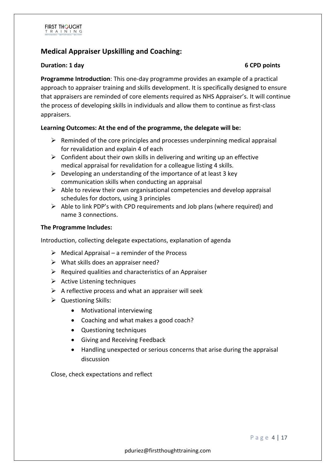# **Medical Appraiser Upskilling and Coaching:**

#### **Duration: 1 day 6 CPD points**

**Programme Introduction**: This one-day programme provides an example of a practical approach to appraiser training and skills development. It is specifically designed to ensure that appraisers are reminded of core elements required as NHS Appraiser's. It will continue the process of developing skills in individuals and allow them to continue as first-class appraisers.

### **Learning Outcomes: At the end of the programme, the delegate will be:**

- $\triangleright$  Reminded of the core principles and processes underpinning medical appraisal for revalidation and explain 4 of each
- $\triangleright$  Confident about their own skills in delivering and writing up an effective medical appraisal for revalidation for a colleague listing 4 skills.
- $\triangleright$  Developing an understanding of the importance of at least 3 key communication skills when conducting an appraisal
- $\triangleright$  Able to review their own organisational competencies and develop appraisal schedules for doctors, using 3 principles
- $\triangleright$  Able to link PDP's with CPD requirements and Job plans (where required) and name 3 connections.

#### **The Programme Includes:**

Introduction, collecting delegate expectations, explanation of agenda

- $\triangleright$  Medical Appraisal a reminder of the Process
- $\triangleright$  What skills does an appraiser need?
- $\triangleright$  Required qualities and characteristics of an Appraiser
- $\triangleright$  Active Listening techniques
- $\triangleright$  A reflective process and what an appraiser will seek
- $\triangleright$  Questioning Skills:
	- Motivational interviewing
	- Coaching and what makes a good coach?
	- Questioning techniques
	- Giving and Receiving Feedback
	- Handling unexpected or serious concerns that arise during the appraisal discussion

Close, check expectations and reflect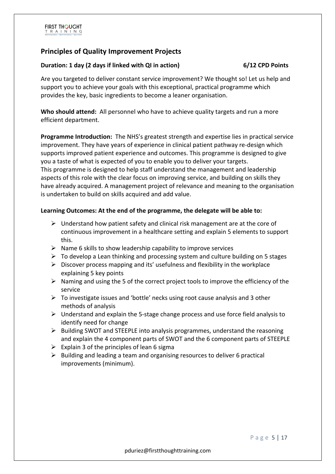# **Principles of Quality Improvement Projects**

#### **Duration: 1 day (2 days if linked with QI in action) 6/12 CPD Points**

Are you targeted to deliver constant service improvement? We thought so! Let us help and support you to achieve your goals with this exceptional, practical programme which provides the key, basic ingredients to become a leaner organisation.

**Who should attend:** All personnel who have to achieve quality targets and run a more efficient department.

**Programme Introduction:** The NHS's greatest strength and expertise lies in practical service improvement. They have years of experience in clinical patient pathway re-design which supports improved patient experience and outcomes. This programme is designed to give you a taste of what is expected of you to enable you to deliver your targets. This programme is designed to help staff understand the management and leadership aspects of this role with the clear focus on improving service, and building on skills they have already acquired. A management project of relevance and meaning to the organisation is undertaken to build on skills acquired and add value.

### **Learning Outcomes: At the end of the programme, the delegate will be able to:**

- $\triangleright$  Understand how patient safety and clinical risk management are at the core of continuous improvement in a healthcare setting and explain 5 elements to support this.
- $\triangleright$  Name 6 skills to show leadership capability to improve services
- $\triangleright$  To develop a Lean thinking and processing system and culture building on 5 stages
- $\triangleright$  Discover process mapping and its' usefulness and flexibility in the workplace explaining 5 key points
- $\triangleright$  Naming and using the 5 of the correct project tools to improve the efficiency of the service
- $\triangleright$  To investigate issues and 'bottle' necks using root cause analysis and 3 other methods of analysis
- $\triangleright$  Understand and explain the 5-stage change process and use force field analysis to identify need for change
- $\triangleright$  Building SWOT and STEEPLE into analysis programmes, understand the reasoning and explain the 4 component parts of SWOT and the 6 component parts of STEEPLE
- $\triangleright$  Explain 3 of the principles of lean 6 sigma
- $\triangleright$  Building and leading a team and organising resources to deliver 6 practical improvements (minimum).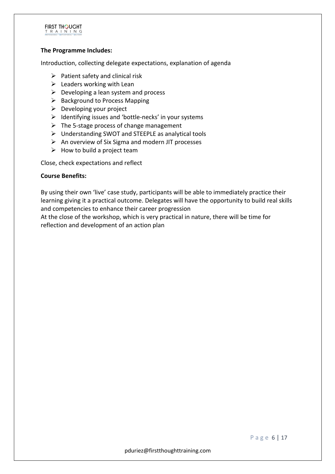

#### **The Programme Includes:**

Introduction, collecting delegate expectations, explanation of agenda

- $\triangleright$  Patient safety and clinical risk
- $\triangleright$  Leaders working with Lean
- $\triangleright$  Developing a lean system and process
- $\triangleright$  Background to Process Mapping
- $\triangleright$  Developing your project
- $\triangleright$  Identifying issues and 'bottle-necks' in your systems
- $\triangleright$  The 5-stage process of change management
- $\triangleright$  Understanding SWOT and STEEPLE as analytical tools
- $\triangleright$  An overview of Six Sigma and modern JIT processes
- $\triangleright$  How to build a project team

Close, check expectations and reflect

#### **Course Benefits:**

By using their own 'live' case study, participants will be able to immediately practice their learning giving it a practical outcome. Delegates will have the opportunity to build real skills and competencies to enhance their career progression

At the close of the workshop, which is very practical in nature, there will be time for reflection and development of an action plan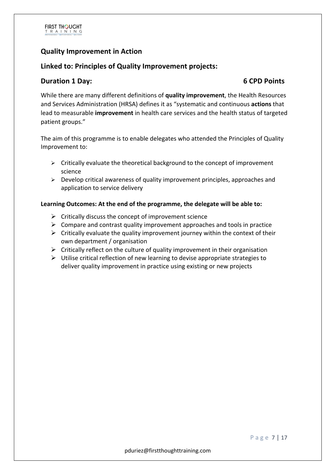# **Quality Improvement in Action**

### **Linked to: Principles of Quality Improvement projects:**

### **Duration 1 Day:** 6 CPD Points

While there are many different definitions of **quality improvement**, the Health Resources and Services Administration (HRSA) defines it as "systematic and continuous **actions** that lead to measurable **improvement** in health care services and the health status of targeted patient groups."

The aim of this programme is to enable delegates who attended the Principles of Quality Improvement to:

- $\triangleright$  Critically evaluate the theoretical background to the concept of improvement science
- $\triangleright$  Develop critical awareness of quality improvement principles, approaches and application to service delivery

#### **Learning Outcomes: At the end of the programme, the delegate will be able to:**

- $\triangleright$  Critically discuss the concept of improvement science
- $\triangleright$  Compare and contrast quality improvement approaches and tools in practice
- $\triangleright$  Critically evaluate the quality improvement journey within the context of their own department / organisation
- $\triangleright$  Critically reflect on the culture of quality improvement in their organisation
- $\triangleright$  Utilise critical reflection of new learning to devise appropriate strategies to deliver quality improvement in practice using existing or new projects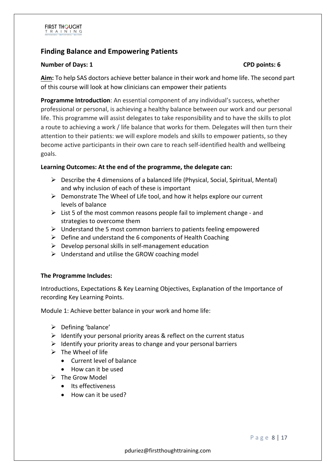# **Finding Balance and Empowering Patients**

#### **Number of Days: 1 CPD points: 6**

**Aim:** To help SAS doctors achieve better balance in their work and home life. The second part of this course will look at how clinicians can empower their patients

**Programme Introduction**: An essential component of any individual's success, whether professional or personal, is achieving a healthy balance between our work and our personal life. This programme will assist delegates to take responsibility and to have the skills to plot a route to achieving a work / life balance that works for them. Delegates will then turn their attention to their patients: we will explore models and skills to empower patients, so they become active participants in their own care to reach self-identified health and wellbeing goals.

### **Learning Outcomes: At the end of the programme, the delegate can:**

- $\triangleright$  Describe the 4 dimensions of a balanced life (Physical, Social, Spiritual, Mental) and why inclusion of each of these is important
- $\triangleright$  Demonstrate The Wheel of Life tool, and how it helps explore our current levels of balance
- $\triangleright$  List 5 of the most common reasons people fail to implement change and strategies to overcome them
- $\triangleright$  Understand the 5 most common barriers to patients feeling empowered
- $\triangleright$  Define and understand the 6 components of Health Coaching
- $\triangleright$  Develop personal skills in self-management education
- $\triangleright$  Understand and utilise the GROW coaching model

#### **The Programme Includes:**

Introductions, Expectations & Key Learning Objectives, Explanation of the Importance of recording Key Learning Points.

Module 1: Achieve better balance in your work and home life:

- $\triangleright$  Defining 'balance'
- $\triangleright$  Identify your personal priority areas & reflect on the current status
- $\triangleright$  Identify your priority areas to change and your personal barriers
- $\triangleright$  The Wheel of life
	- Current level of balance
	- How can it be used
- $\triangleright$  The Grow Model
	- Its effectiveness
	- How can it be used?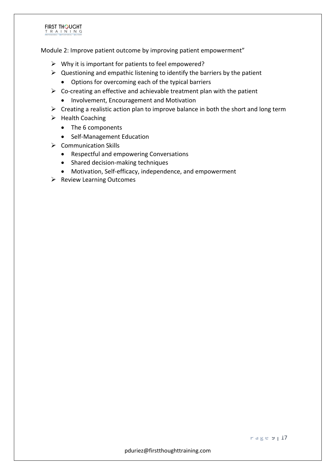#### **FIRST THOUGHT** T R A I N I N G

Module 2: Improve patient outcome by improving patient empowerment"

- $\triangleright$  Why it is important for patients to feel empowered?
- $\triangleright$  Questioning and empathic listening to identify the barriers by the patient
	- Options for overcoming each of the typical barriers
- $\triangleright$  Co-creating an effective and achievable treatment plan with the patient
	- Involvement, Encouragement and Motivation
- $\triangleright$  Creating a realistic action plan to improve balance in both the short and long term
- $\triangleright$  Health Coaching
	- The 6 components
	- Self-Management Education
- $\triangleright$  Communication Skills
	- Respectful and empowering Conversations
	- Shared decision-making techniques
	- Motivation, Self-efficacy, independence, and empowerment
- $\triangleright$  Review Learning Outcomes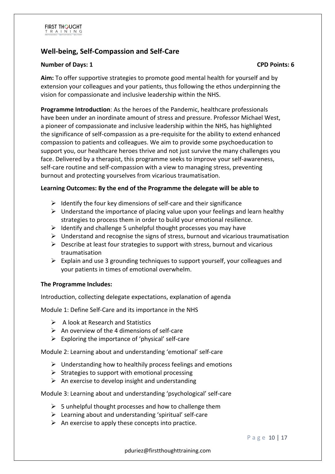# **Well-being, Self-Compassion and Self-Care**

#### **Number of Days: 1 CPD Points: 6**

**Aim:** To offer supportive strategies to promote good mental health for yourself and by extension your colleagues and your patients, thus following the ethos underpinning the vision for compassionate and inclusive leadership within the NHS.

**Programme Introduction**: As the heroes of the Pandemic, healthcare professionals have been under an inordinate amount of stress and pressure. Professor Michael West, a pioneer of compassionate and inclusive leadership within the NHS, has highlighted the significance of self-compassion as a pre-requisite for the ability to extend enhanced compassion to patients and colleagues. We aim to provide some psychoeducation to support you, our healthcare heroes thrive and not just survive the many challenges you face. Delivered by a therapist, this programme seeks to improve your self-awareness, self-care routine and self-compassion with a view to managing stress, preventing burnout and protecting yourselves from vicarious traumatisation.

#### **Learning Outcomes: By the end of the Programme the delegate will be able to**

- $\triangleright$  Identify the four key dimensions of self-care and their significance
- $\triangleright$  Understand the importance of placing value upon your feelings and learn healthy strategies to process them in order to build your emotional resilience.
- $\triangleright$  Identify and challenge 5 unhelpful thought processes you may have
- $\triangleright$  Understand and recognise the signs of stress, burnout and vicarious traumatisation
- $\triangleright$  Describe at least four strategies to support with stress, burnout and vicarious traumatisation
- $\triangleright$  Explain and use 3 grounding techniques to support yourself, your colleagues and your patients in times of emotional overwhelm.

#### **The Programme Includes:**

Introduction, collecting delegate expectations, explanation of agenda

Module 1: Define Self-Care and its importance in the NHS

- $\triangleright$  A look at Research and Statistics
- $\triangleright$  An overview of the 4 dimensions of self-care
- $\triangleright$  Exploring the importance of 'physical' self-care

Module 2: Learning about and understanding 'emotional' self-care

- $\triangleright$  Understanding how to healthily process feelings and emotions
- $\triangleright$  Strategies to support with emotional processing
- $\triangleright$  An exercise to develop insight and understanding

Module 3: Learning about and understanding 'psychological' self-care

- $\triangleright$  5 unhelpful thought processes and how to challenge them
- $\triangleright$  Learning about and understanding 'spiritual' self-care
- $\triangleright$  An exercise to apply these concepts into practice.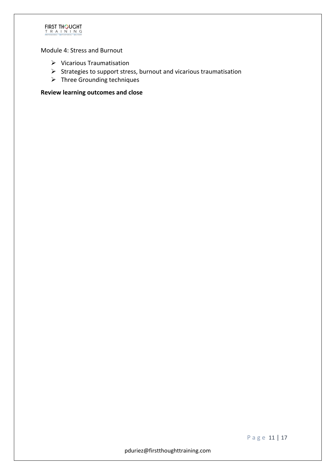

Module 4: Stress and Burnout

- $\triangleright$  Vicarious Traumatisation
- $\triangleright$  Strategies to support stress, burnout and vicarious traumatisation
- $\triangleright$  Three Grounding techniques

**Review learning outcomes and close**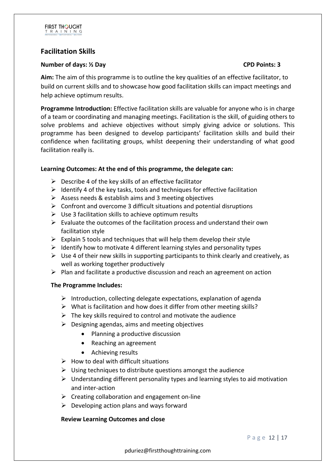# **Facilitation Skills**

#### **Number of days: ½ Day CPD Points: 3**

**Aim:** The aim of this programme is to outline the key qualities of an effective facilitator, to build on current skills and to showcase how good facilitation skills can impact meetings and help achieve optimum results.

**Programme Introduction:** Effective facilitation skills are valuable for anyone who is in charge of a team or coordinating and managing meetings. Facilitation is the skill, of guiding others to solve problems and achieve objectives without simply giving advice or solutions. This programme has been designed to develop participants' facilitation skills and build their confidence when facilitating groups, whilst deepening their understanding of what good facilitation really is.

### **Learning Outcomes: At the end of this programme, the delegate can:**

- $\triangleright$  Describe 4 of the key skills of an effective facilitator
- $\triangleright$  Identify 4 of the key tasks, tools and techniques for effective facilitation
- $\triangleright$  Assess needs & establish aims and 3 meeting objectives
- $\triangleright$  Confront and overcome 3 difficult situations and potential disruptions
- $\triangleright$  Use 3 facilitation skills to achieve optimum results
- $\triangleright$  Evaluate the outcomes of the facilitation process and understand their own facilitation style
- $\triangleright$  Explain 5 tools and techniques that will help them develop their style
- $\triangleright$  Identify how to motivate 4 different learning styles and personality types
- $\triangleright$  Use 4 of their new skills in supporting participants to think clearly and creatively, as well as working together productively
- $\triangleright$  Plan and facilitate a productive discussion and reach an agreement on action

#### **The Programme Includes:**

- $\triangleright$  Introduction, collecting delegate expectations, explanation of agenda
- $\triangleright$  What is facilitation and how does it differ from other meeting skills?
- $\triangleright$  The key skills required to control and motivate the audience
- $\triangleright$  Designing agendas, aims and meeting objectives
	- Planning a productive discussion
	- Reaching an agreement
	- Achieving results
- $\triangleright$  How to deal with difficult situations
- $\triangleright$  Using techniques to distribute questions amongst the audience
- $\triangleright$  Understanding different personality types and learning styles to aid motivation and inter-action
- $\triangleright$  Creating collaboration and engagement on-line
- $\triangleright$  Developing action plans and ways forward

#### **Review Learning Outcomes and close**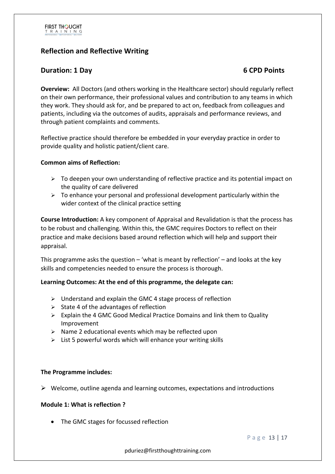# **Reflection and Reflective Writing**

# **Duration: 1 Day 6 CPD Points**

**Overview:** All Doctors (and others working in the Healthcare sector) should regularly reflect on their own performance, their professional values and contribution to any teams in which they work. They should ask for, and be prepared to act on, feedback from colleagues and patients, including via the outcomes of audits, appraisals and performance reviews, and through patient complaints and comments.

Reflective practice should therefore be embedded in your everyday practice in order to provide quality and holistic patient/client care.

#### **Common aims of Reflection:**

- $\triangleright$  To deepen your own understanding of reflective practice and its potential impact on the quality of care delivered
- $\triangleright$  To enhance your personal and professional development particularly within the wider context of the clinical practice setting

**Course Introduction:** A key component of Appraisal and Revalidation is that the process has to be robust and challenging. Within this, the GMC requires Doctors to reflect on their practice and make decisions based around reflection which will help and support their appraisal.

This programme asks the question – 'what is meant by reflection' – and looks at the key skills and competencies needed to ensure the process is thorough.

#### **Learning Outcomes: At the end of this programme, the delegate can:**

- $\triangleright$  Understand and explain the GMC 4 stage process of reflection
- $\triangleright$  State 4 of the advantages of reflection
- $\triangleright$  Explain the 4 GMC Good Medical Practice Domains and link them to Quality Improvement
- $\triangleright$  Name 2 educational events which may be reflected upon
- $\triangleright$  List 5 powerful words which will enhance your writing skills

#### **The Programme includes:**

 $\triangleright$  Welcome, outline agenda and learning outcomes, expectations and introductions

#### **Module 1: What is reflection ?**

• The GMC stages for focussed reflection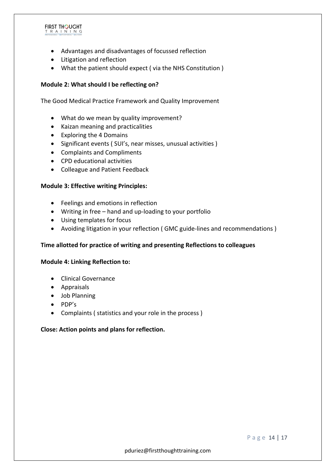#### **FIRST THOUGHT** T R A I N I N G

- Advantages and disadvantages of focussed reflection
- Litigation and reflection
- What the patient should expect ( via the NHS Constitution )

#### **Module 2: What should I be reflecting on?**

The Good Medical Practice Framework and Quality Improvement

- What do we mean by quality improvement?
- Kaizan meaning and practicalities
- Exploring the 4 Domains
- Significant events ( SUI's, near misses, unusual activities )
- Complaints and Compliments
- CPD educational activities
- Colleague and Patient Feedback

#### **Module 3: Effective writing Principles:**

- Feelings and emotions in reflection
- Writing in free hand and up-loading to your portfolio
- Using templates for focus
- Avoiding litigation in your reflection ( GMC guide-lines and recommendations )

#### **Time allotted for practice of writing and presenting Reflections to colleagues**

#### **Module 4: Linking Reflection to:**

- Clinical Governance
- Appraisals
- Job Planning
- PDP's
- Complaints ( statistics and your role in the process )

#### **Close: Action points and plans for reflection.**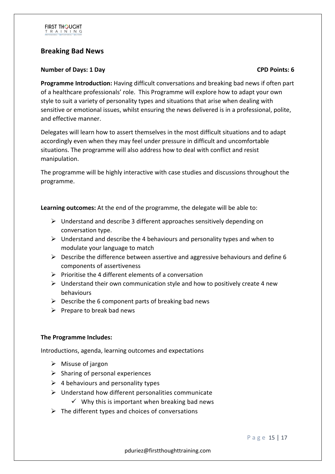

# **Breaking Bad News**

#### **Number of Days: 1 Day CPD Points: 6**

**Programme Introduction:** Having difficult conversations and breaking bad news if often part of a healthcare professionals' role. This Programme will explore how to adapt your own style to suit a variety of personality types and situations that arise when dealing with sensitive or emotional issues, whilst ensuring the news delivered is in a professional, polite, and effective manner.

Delegates will learn how to assert themselves in the most difficult situations and to adapt accordingly even when they may feel under pressure in difficult and uncomfortable situations. The programme will also address how to deal with conflict and resist manipulation.

The programme will be highly interactive with case studies and discussions throughout the programme.

**Learning outcomes:** At the end of the programme, the delegate will be able to:

- Ø Understand and describe 3 different approaches sensitively depending on conversation type.
- $\triangleright$  Understand and describe the 4 behaviours and personality types and when to modulate your language to match
- $\triangleright$  Describe the difference between assertive and aggressive behaviours and define 6 components of assertiveness
- $\triangleright$  Prioritise the 4 different elements of a conversation
- $\triangleright$  Understand their own communication style and how to positively create 4 new behaviours
- $\triangleright$  Describe the 6 component parts of breaking bad news
- $\triangleright$  Prepare to break bad news

### **The Programme Includes:**

Introductions, agenda, learning outcomes and expectations

- $\triangleright$  Misuse of jargon
- $\triangleright$  Sharing of personal experiences
- $\triangleright$  4 behaviours and personality types
- $\triangleright$  Understand how different personalities communicate
	- $\checkmark$  Why this is important when breaking bad news
- $\triangleright$  The different types and choices of conversations

Page 15 | 17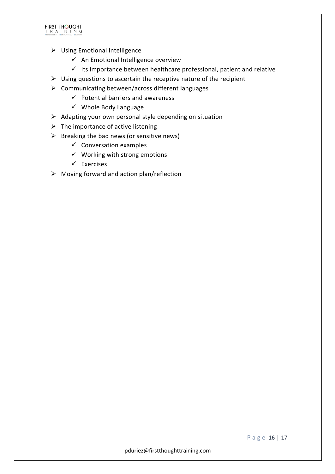

- $\triangleright$  Using Emotional Intelligence
	- $\checkmark$  An Emotional Intelligence overview
	- $\checkmark$  Its importance between healthcare professional, patient and relative
- $\triangleright$  Using questions to ascertain the receptive nature of the recipient
- $\triangleright$  Communicating between/across different languages
	- $\checkmark$  Potential barriers and awareness
	- $\checkmark$  Whole Body Language
- $\triangleright$  Adapting your own personal style depending on situation
- $\triangleright$  The importance of active listening
- $\triangleright$  Breaking the bad news (or sensitive news)
	- $\checkmark$  Conversation examples
	- $\checkmark$  Working with strong emotions
	- $\checkmark$  Exercises
- $\triangleright$  Moving forward and action plan/reflection